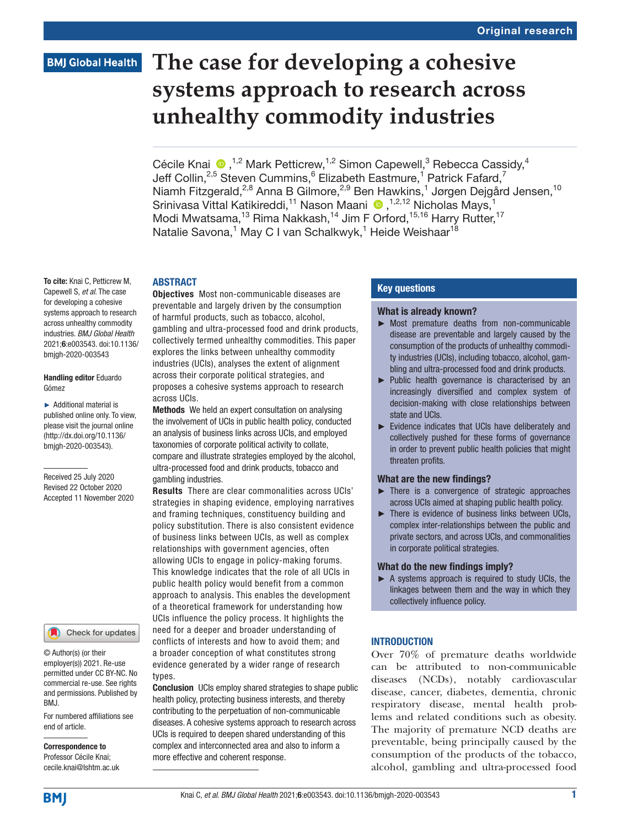# **The case for developing a cohesive systems approach to research across unhealthy commodity industries**

Cécile Knai  $\bigcirc$ ,<sup>1,2</sup> Mark Petticrew,<sup>1,2</sup> Simon Capewell,<sup>3</sup> Rebecca Cassidy,<sup>4</sup> Jeff Collin,<sup>2,5</sup> Steven Cummins,<sup>6</sup> Elizabeth Eastmure,<sup>1</sup> Patrick Fafard,<sup>7</sup> Niamh Fitzgerald,<sup>2,8</sup> Anna B Gilmore,<sup>2,9</sup> Ben Hawkins,<sup>1</sup> Jørgen Dejgård Jensen,<sup>10</sup> Srinivasa Vittal Katikireddi,<sup>11</sup> Nason Maani (D, 1,2,12 Nicholas Mays, 1 Modi Mwatsama,<sup>13</sup> Rima Nakkash,<sup>14</sup> Jim F Orford,<sup>15,16</sup> Harry Rutter,<sup>17</sup> Natalie Savona,<sup>1</sup> May C I van Schalkwyk,<sup>1</sup> Heide Weishaar<sup>18</sup>

#### **ABSTRACT**

To cite: Knai C, Petticrew M, Capewell S, *et al*. The case for developing a cohesive systems approach to research across unhealthy commodity industries. *BMJ Global Health* 2021;6:e003543. doi:10.1136/ bmjgh-2020-003543

Handling editor Eduardo Gómez

► Additional material is published online only. To view, please visit the journal online (http://dx.doi.org/10.1136/ bmjgh-2020-003543).

Received 25 July 2020 Revised 22 October 2020 Accepted 11 November 2020



© Author(s) (or their employer(s)) 2021. Re-use permitted under CC BY-NC. No commercial re-use. See rights and permissions. Published by BMJ.

For numbered affiliations see end of article.

Correspondence to Professor Cécile Knai; cecile.knai@lshtm.ac.uk Objectives Most non-communicable diseases are preventable and largely driven by the consumption of harmful products, such as tobacco, alcohol, gambling and ultra-processed food and drink products, collectively termed unhealthy commodities. This paper explores the links between unhealthy commodity industries (UCIs), analyses the extent of alignment across their corporate political strategies, and proposes a cohesive systems approach to research across UCIs.

Methods We held an expert consultation on analysing the involvement of UCIs in public health policy, conducted an analysis of business links across UCIs, and employed taxonomies of corporate political activity to collate, compare and illustrate strategies employed by the alcohol, ultra-processed food and drink products, tobacco and gambling industries.

Results There are clear commonalities across UCIs' strategies in shaping evidence, employing narratives and framing techniques, constituency building and policy substitution. There is also consistent evidence of business links between UCIs, as well as complex relationships with government agencies, often allowing UCIs to engage in policy-making forums. This knowledge indicates that the role of all UCIs in public health policy would benefit from a common approach to analysis. This enables the development of a theoretical framework for understanding how UCIs influence the policy process. It highlights the need for a deeper and broader understanding of conflicts of interests and how to avoid them; and a broader conception of what constitutes strong evidence generated by a wider range of research types.

Conclusion UCIs employ shared strategies to shape public health policy, protecting business interests, and thereby contributing to the perpetuation of non-communicable diseases. A cohesive systems approach to research across UCIs is required to deepen shared understanding of this complex and interconnected area and also to inform a more effective and coherent response.

#### Key questions

#### What is already known?

- ► Most premature deaths from non-communicable disease are preventable and largely caused by the consumption of the products of unhealthy commodity industries (UCIs), including tobacco, alcohol, gambling and ultra-processed food and drink products.
- ► Public health governance is characterised by an increasingly diversified and complex system of decision-making with close relationships between state and UCIs.
- ► Evidence indicates that UCIs have deliberately and collectively pushed for these forms of governance in order to prevent public health policies that might threaten profits.

#### What are the new findings?

- ► There is a convergence of strategic approaches across UCIs aimed at shaping public health policy.
- ► There is evidence of business links between UCIs, complex inter-relationships between the public and private sectors, and across UCIs, and commonalities in corporate political strategies.

#### What do the new findings imply?

► A systems approach is required to study UCIs, the linkages between them and the way in which they collectively influence policy.

### **INTRODUCTION**

Over 70% of premature deaths worldwide can be attributed to non-communicable diseases (NCDs), notably cardiovascular disease, cancer, diabetes, dementia, chronic respiratory disease, mental health problems and related conditions such as obesity. The majority of premature NCD deaths are preventable, being principally caused by the consumption of the products of the tobacco, alcohol, gambling and ultra-processed food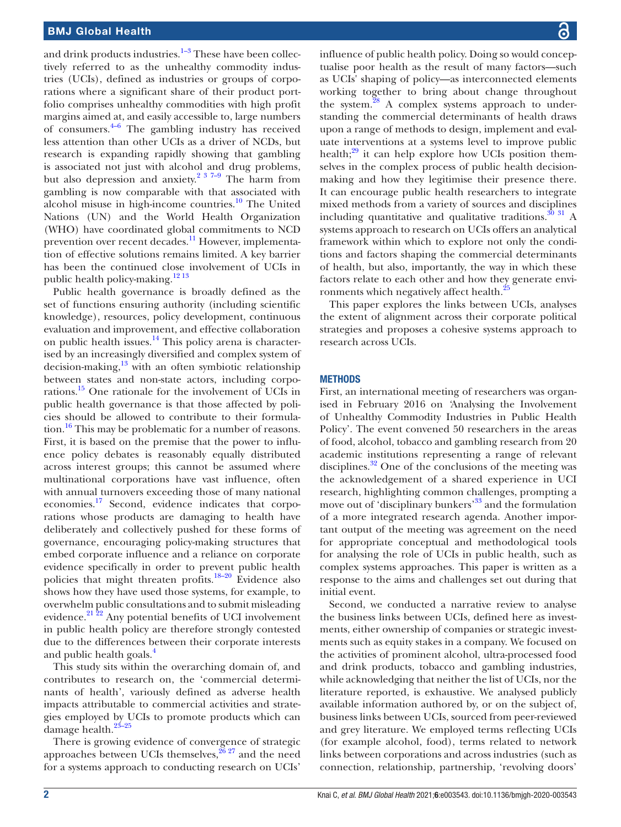and drink products industries. $1-3$  These have been collectively referred to as the unhealthy commodity industries (UCIs), defined as industries or groups of corporations where a significant share of their product portfolio comprises unhealthy commodities with high profit margins aimed at, and easily accessible to, large numbers of consumers.[4–6](#page-7-1) The gambling industry has received less attention than other UCIs as a driver of NCDs, but research is expanding rapidly showing that gambling is associated not just with alcohol and drug problems, but also depression and anxiety.<sup>[2 3 7–9](#page-7-2)</sup> The harm from gambling is now comparable with that associated with alcohol misuse in high-income countries.<sup>10</sup> The United Nations (UN) and the World Health Organization (WHO) have coordinated global commitments to NCD prevention over recent decades.<sup>11</sup> However, implementation of effective solutions remains limited. A key barrier has been the continued close involvement of UCIs in public health policy-making.<sup>[12 13](#page-7-5)</sup>

Public health governance is broadly defined as the set of functions ensuring authority (including scientific knowledge), resources, policy development, continuous evaluation and improvement, and effective collaboration on public health issues.[14](#page-7-6) This policy arena is characterised by an increasingly diversified and complex system of decision-making, $13$  with an often symbiotic relationship between states and non-state actors, including corporations.[15](#page-7-8) One rationale for the involvement of UCIs in public health governance is that those affected by policies should be allowed to contribute to their formulation.<sup>16</sup> This may be problematic for a number of reasons. First, it is based on the premise that the power to influence policy debates is reasonably equally distributed across interest groups; this cannot be assumed where multinational corporations have vast influence, often with annual turnovers exceeding those of many national economies[.17](#page-7-10) Second, evidence indicates that corporations whose products are damaging to health have deliberately and collectively pushed for these forms of governance, encouraging policy-making structures that embed corporate influence and a reliance on corporate evidence specifically in order to prevent public health policies that might threaten profits.[18–20](#page-7-11) Evidence also shows how they have used those systems, for example, to overwhelm public consultations and to submit misleading evidence. $21\overline{2}2$  Any potential benefits of UCI involvement in public health policy are therefore strongly contested due to the differences between their corporate interests and public health goals.<sup>4</sup>

This study sits within the overarching domain of, and contributes to research on, the 'commercial determinants of health', variously defined as adverse health impacts attributable to commercial activities and strategies employed by UCIs to promote products which can damage health.<sup>23-25</sup>

There is growing evidence of convergence of strategic approaches between UCIs themselves,  $^{26}$   $^{27}$  and the need for a systems approach to conducting research on UCIs'

influence of public health policy. Doing so would conceptualise poor health as the result of many factors—such as UCIs' shaping of policy—as interconnected elements working together to bring about change throughout the system.<sup>[28](#page-8-1)</sup> A complex systems approach to understanding the commercial determinants of health draws upon a range of methods to design, implement and evaluate interventions at a systems level to improve public health; $^{29}$  it can help explore how UCIs position themselves in the complex process of public health decisionmaking and how they legitimise their presence there. It can encourage public health researchers to integrate mixed methods from a variety of sources and disciplines including quantitative and qualitative traditions. $30$  31 A systems approach to research on UCIs offers an analytical framework within which to explore not only the conditions and factors shaping the commercial determinants of health, but also, importantly, the way in which these factors relate to each other and how they generate environments which negatively affect health.<sup>2</sup>

This paper explores the links between UCIs, analyses the extent of alignment across their corporate political strategies and proposes a cohesive systems approach to research across UCIs.

#### **METHODS**

First, an international meeting of researchers was organised in February 2016 on *'*Analysing the Involvement of Unhealthy Commodity Industries in Public Health Policy'. The event convened 50 researchers in the areas of food, alcohol, tobacco and gambling research from 20 academic institutions representing a range of relevant disciplines. $32$  One of the conclusions of the meeting was the acknowledgement of a shared experience in UCI research, highlighting common challenges, prompting a move out of 'disciplinary bunkers'<sup>33</sup> and the formulation of a more integrated research agenda. Another important output of the meeting was agreement on the need for appropriate conceptual and methodological tools for analysing the role of UCIs in public health, such as complex systems approaches. This paper is written as a response to the aims and challenges set out during that initial event.

Second, we conducted a narrative review to analyse the business links between UCIs, defined here as investments, either ownership of companies or strategic investments such as equity stakes in a company. We focused on the activities of prominent alcohol, ultra-processed food and drink products, tobacco and gambling industries, while acknowledging that neither the list of UCIs, nor the literature reported, is exhaustive. We analysed publicly available information authored by, or on the subject of, business links between UCIs, sourced from peer-reviewed and grey literature. We employed terms reflecting UCIs (for example alcohol, food), terms related to network links between corporations and across industries (such as connection, relationship, partnership, 'revolving doors'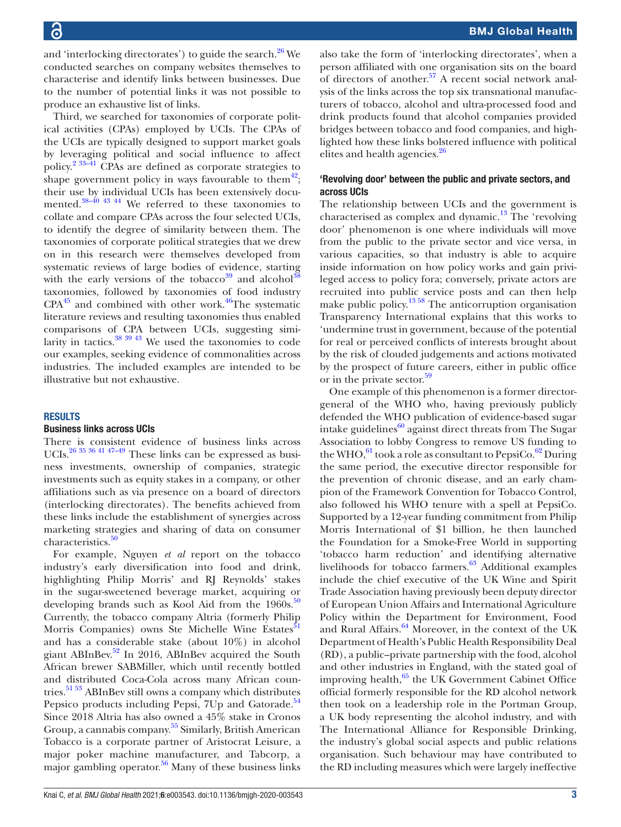and 'interlocking directorates') to guide the search.<sup>26</sup> We conducted searches on company websites themselves to characterise and identify links between businesses. Due to the number of potential links it was not possible to produce an exhaustive list of links.

Third, we searched for taxonomies of corporate political activities (CPAs) employed by UCIs. The CPAs of the UCIs are typically designed to support market goals by leveraging political and social influence to affect policy.[2 33–41](#page-7-2) CPAs are defined as corporate strategies to shape government policy in ways favourable to them<sup>42</sup>; their use by individual UCIs has been extensively documented.<sup>38–40</sup> <sup>43</sup> <sup>44</sup> We referred to these taxonomies to collate and compare CPAs across the four selected UCIs, to identify the degree of similarity between them. The taxonomies of corporate political strategies that we drew on in this research were themselves developed from systematic reviews of large bodies of evidence, starting with the early versions of the tobacco<sup>[39](#page-8-8)</sup> and alcohol<sup>38</sup> taxonomies, followed by taxonomies of food industry  $CPA<sup>45</sup>$  and combined with other work.<sup>46</sup>The systematic literature reviews and resulting taxonomies thus enabled comparisons of CPA between UCIs, suggesting similarity in tactics. $38\frac{39\frac{43}{1}}{30\frac{1}{10}}$  We used the taxonomies to code our examples, seeking evidence of commonalities across industries. The included examples are intended to be illustrative but not exhaustive.

### RESULTS

#### Business links across UCIs

There is consistent evidence of business links across UCIs.[26 35 36 41 47–49](#page-8-0) These links can be expressed as business investments, ownership of companies, strategic investments such as equity stakes in a company, or other affiliations such as via presence on a board of directors (interlocking directorates). The benefits achieved from these links include the establishment of synergies across marketing strategies and sharing of data on consumer characteristics.<sup>50</sup>

For example, Nguyen *et al* report on the tobacco industry's early diversification into food and drink, highlighting Philip Morris' and RJ Reynolds' stakes in the sugar-sweetened beverage market, acquiring or developing brands such as Kool Aid from the  $1960s$ .<sup>50</sup> Currently, the tobacco company Altria (formerly Philip Morris Companies) owns Ste Michelle Wine Estates<sup>51</sup> and has a considerable stake (about 10%) in alcohol giant ABInBev.[52](#page-8-13) In 2016, ABInBev acquired the South African brewer SABMiller, which until recently bottled and distributed Coca-Cola across many African countries.[51 53](#page-8-12) ABInBev still owns a company which distributes Pepsico products including Pepsi, 7Up and Gatorade.<sup>54</sup> Since 2018 Altria has also owned a 45% stake in Cronos Group, a cannabis company.<sup>55</sup> Similarly, British American Tobacco is a corporate partner of Aristocrat Leisure, a major poker machine manufacturer, and Tabcorp, a major gambling operator. $56$  Many of these business links

also take the form of 'interlocking directorates', when a person affiliated with one organisation sits on the board of directors of another. $57$  A recent social network analysis of the links across the top six transnational manufacturers of tobacco, alcohol and ultra-processed food and drink products found that alcohol companies provided bridges between tobacco and food companies, and highlighted how these links bolstered influence with political elites and health agencies.<sup>26</sup>

### 'Revolving door' between the public and private sectors, and across UCIs

The relationship between UCIs and the government is characterised as complex and dynamic.<sup>13</sup> The 'revolving' door' phenomenon is one where individuals will move from the public to the private sector and vice versa, in various capacities, so that industry is able to acquire inside information on how policy works and gain privileged access to policy fora; conversely, private actors are recruited into public service posts and can then help make public policy.[13 58](#page-7-7) The anticorruption organisation Transparency International explains that this works to 'undermine trust in government, because of the potential for real or perceived conflicts of interests brought about by the risk of clouded judgements and actions motivated by the prospect of future careers, either in public office or in the private sector.<sup>[59](#page-8-18)</sup>

One example of this phenomenon is a former directorgeneral of the WHO who, having previously publicly defended the WHO publication of evidence-based sugar intake guidelines $60$  against direct threats from The Sugar Association to lobby Congress to remove US funding to the WHO, $^{61}$  took a role as consultant to PepsiCo. $^{62}$  During the same period, the executive director responsible for the prevention of chronic disease, and an early champion of the Framework Convention for Tobacco Control, also followed his WHO tenure with a spell at PepsiCo. Supported by a 12-year funding commitment from Philip Morris International of \$1 billion, he then launched the Foundation for a Smoke-Free World in supporting 'tobacco harm reduction' and identifying alternative livelihoods for tobacco farmers.<sup>63</sup> Additional examples include the chief executive of the UK Wine and Spirit Trade Association having previously been deputy director of European Union Affairs and International Agriculture Policy within the Department for Environment, Food and Rural Affairs.<sup>64</sup> Moreover, in the context of the UK Department of Health's Public Health Responsibility Deal (RD), a public–private partnership with the food, alcohol and other industries in England, with the stated goal of improving health, $65$  the UK Government Cabinet Office official formerly responsible for the RD alcohol network then took on a leadership role in the Portman Group, a UK body representing the alcohol industry, and with The International Alliance for Responsible Drinking, the industry's global social aspects and public relations organisation. Such behaviour may have contributed to the RD including measures which were largely ineffective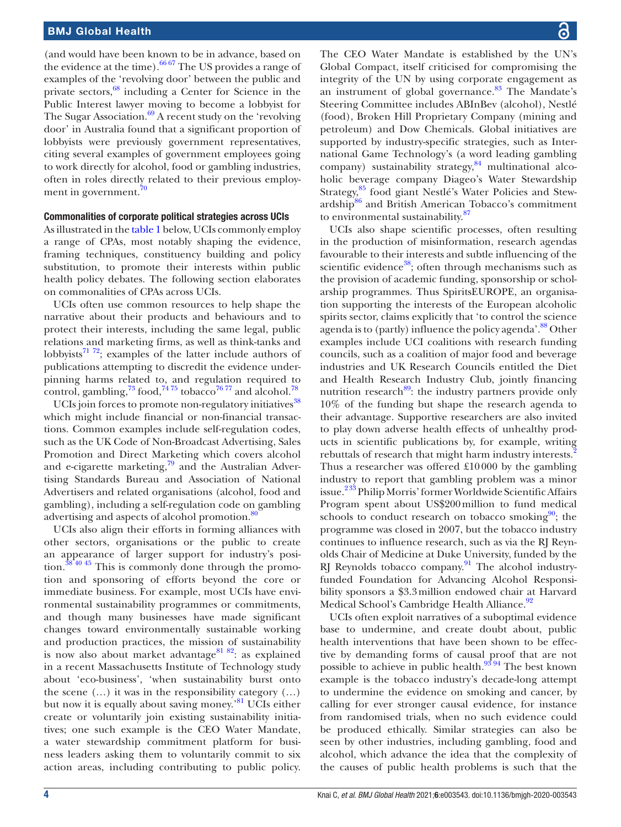(and would have been known to be in advance, based on the evidence at the time).  $66\,67$  The US provides a range of examples of the 'revolving door' between the public and private sectors, $68$  including a Center for Science in the Public Interest lawyer moving to become a lobbyist for The Sugar Association. $69$  A recent study on the 'revolving' door' in Australia found that a significant proportion of lobbyists were previously government representatives, citing several examples of government employees going to work directly for alcohol, food or gambling industries, often in roles directly related to their previous employ-ment in government.<sup>[70](#page-8-28)</sup>

#### Commonalities of corporate political strategies across UCIs

As illustrated in the [table](#page-4-0) 1 below, UCIs commonly employ a range of CPAs, most notably shaping the evidence, framing techniques, constituency building and policy substitution, to promote their interests within public health policy debates. The following section elaborates on commonalities of CPAs across UCIs.

UCIs often use common resources to help shape the narrative about their products and behaviours and to protect their interests, including the same legal, public relations and marketing firms, as well as think-tanks and lobbyists<sup>71 72</sup>; examples of the latter include authors of publications attempting to discredit the evidence underpinning harms related to, and regulation required to control, gambling,  $^{73}$  food,  $^{74.75}$  tobacco<sup>76.77</sup> and alcohol.<sup>78</sup>

UCIs join forces to promote non-regulatory initiatives<sup>[38](#page-8-7)</sup> which might include financial or non-financial transactions. Common examples include self-regulation codes, such as the UK Code of Non-Broadcast Advertising, Sales Promotion and Direct Marketing which covers alcohol and e-cigarette marketing, $^{79}$  and the Australian Advertising Standards Bureau and Association of National Advertisers and related organisations (alcohol, food and gambling), including a self-regulation code on gambling advertising and aspects of alcohol promotion.<sup>[80](#page-9-0)</sup>

UCIs also align their efforts in forming alliances with other sectors, organisations or the public to create an appearance of larger support for industry's position.<sup>38 40 45</sup> This is commonly done through the promotion and sponsoring of efforts beyond the core or immediate business. For example, most UCIs have environmental sustainability programmes or commitments, and though many businesses have made significant changes toward environmentally sustainable working and production practices, the mission of sustainability is now also about market advantage<sup>81 82</sup>: as explained in a recent Massachusetts Institute of Technology study about 'eco-business', 'when sustainability burst onto the scene  $(...)$  it was in the responsibility category  $(...)$ but now it is equally about saving money.<sup>[81](#page-9-1)</sup> UCIs either create or voluntarily join existing sustainability initiatives; one such example is the CEO Water Mandate, a water stewardship commitment platform for business leaders asking them to voluntarily commit to six action areas, including contributing to public policy.

The CEO Water Mandate is established by the UN's Global Compact, itself criticised for compromising the integrity of the UN by using corporate engagement as an instrument of global governance.<sup>83</sup> The Mandate's Steering Committee includes ABInBev (alcohol), Nestlé (food), Broken Hill Proprietary Company (mining and petroleum) and Dow Chemicals. Global initiatives are supported by industry-specific strategies, such as International Game Technology's (a word leading gambling  $company)$  sustainability strategy,  $\frac{84}{9}$  multinational alcoholic beverage company Diageo's Water Stewardship Strategy,<sup>[85](#page-9-4)</sup> food giant Nestlé's Water Policies and Stew-ardship<sup>[86](#page-9-5)</sup> and British American Tobacco's commitment to environmental sustainability.[87](#page-9-6)

UCIs also shape scientific processes, often resulting in the production of misinformation, research agendas favourable to their interests and subtle influencing of the scientific evidence<sup>[38](#page-8-7)</sup>; often through mechanisms such as the provision of academic funding, sponsorship or scholarship programmes. Thus SpiritsEUROPE, an organisation supporting the interests of the European alcoholic spirits sector, claims explicitly that 'to control the science agenda is to (partly) influence the policy agenda'.<sup>88</sup> Other examples include UCI coalitions with research funding councils, such as a coalition of major food and beverage industries and UK Research Councils entitled the Diet and Health Research Industry Club, jointly financing nutrition research $89$ : the industry partners provide only 10% of the funding but shape the research agenda to their advantage. Supportive researchers are also invited to play down adverse health effects of unhealthy products in scientific publications by, for example, writing rebuttals of research that might harm industry interests.<sup>[2](#page-7-2)</sup> Thus a researcher was offered £10000 by the gambling industry to report that gambling problem was a minor issue.<sup>233</sup> Philip Morris' former Worldwide Scientific Affairs Program spent about US\$200million to fund medical schools to conduct research on tobacco smoking $90$ ; the programme was closed in 2007, but the tobacco industry continues to influence research, such as via the RJ Reynolds Chair of Medicine at Duke University, funded by the RJ Reynolds tobacco company.<sup>[91](#page-9-10)</sup> The alcohol industryfunded Foundation for Advancing Alcohol Responsibility sponsors a \$3.3million endowed chair at Harvard Medical School's Cambridge Health Alliance.<sup>[92](#page-9-11)</sup>

UCIs often exploit narratives of a suboptimal evidence base to undermine, and create doubt about, public health interventions that have been shown to be effective by demanding forms of causal proof that are not possible to achieve in public health.<sup>93</sup><sup>94</sup> The best known example is the tobacco industry's decade-long attempt to undermine the evidence on smoking and cancer, by calling for ever stronger causal evidence, for instance from randomised trials, when no such evidence could be produced ethically. Similar strategies can also be seen by other industries, including gambling, food and alcohol, which advance the idea that the complexity of the causes of public health problems is such that the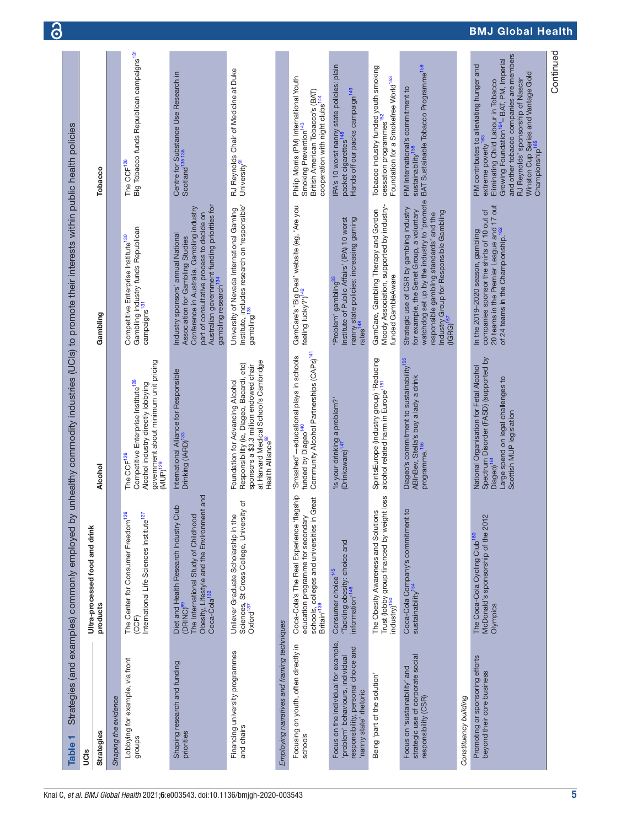<span id="page-4-0"></span>

| ٣<br><b>Table</b>                                                                                                                       | Strategies (and examples) commonly employed by                                                                                                                                                 |                                                                                                                                                                                                   | unhealthy commodity industries (UCIs) to promote their interests within public health policies                                                                                                                                                        |                                                                                                                                                                                                                                                                                                                                   |
|-----------------------------------------------------------------------------------------------------------------------------------------|------------------------------------------------------------------------------------------------------------------------------------------------------------------------------------------------|---------------------------------------------------------------------------------------------------------------------------------------------------------------------------------------------------|-------------------------------------------------------------------------------------------------------------------------------------------------------------------------------------------------------------------------------------------------------|-----------------------------------------------------------------------------------------------------------------------------------------------------------------------------------------------------------------------------------------------------------------------------------------------------------------------------------|
| UCIS                                                                                                                                    | Ultra-processed food and drink                                                                                                                                                                 |                                                                                                                                                                                                   |                                                                                                                                                                                                                                                       |                                                                                                                                                                                                                                                                                                                                   |
| <b>Strategies</b>                                                                                                                       | products                                                                                                                                                                                       | Alcohol                                                                                                                                                                                           | Gambling                                                                                                                                                                                                                                              | Tobacco                                                                                                                                                                                                                                                                                                                           |
| Shaping the evidence                                                                                                                    |                                                                                                                                                                                                |                                                                                                                                                                                                   |                                                                                                                                                                                                                                                       |                                                                                                                                                                                                                                                                                                                                   |
| Lobbying for example, via front<br>groups                                                                                               | The Center for Consumer Freedom <sup>126</sup><br>(CCF)<br>International Life Sciences Institute <sup>127</sup>                                                                                | government about minimum unit pricing<br>Competitive Enterprise Institute <sup>128</sup><br>Alcohol industry directly lobbying<br>The CCF <sup>126</sup><br>MUP) <sup>129</sup>                   | Gambling industry funds Republican<br>Competitive Enterprise Institute <sup>130</sup><br>campaigns <sup>131</sup>                                                                                                                                     | Big Tobacco funds Republican campaigns <sup>131</sup><br>The CCF <sup>126</sup>                                                                                                                                                                                                                                                   |
| Shaping research and funding<br>priorities                                                                                              | and<br>$\Omega$<br>Obesity, Lifestyle and the Environmen<br>Coca-Cola <sup>132</sup><br>Diet and Health Research Industry Clu<br>The International Study of Childhood<br>(DRINC) <sup>89</sup> | International Alliance for Responsible<br>Drinking (IARD) <sup>133</sup>                                                                                                                          | Australian government funding priorities for<br>Conference in Australia. Gambling industry<br>part of consultative process to decide on<br>Industry sponsors' annual National<br>Association for Gambling Studies<br>gambling research <sup>134</sup> | Centre for Substance Use Research in<br>Scotland <sup>135</sup><br>136                                                                                                                                                                                                                                                            |
| Financing university programmes<br>and chairs                                                                                           | ৳<br>Sciences, St Cross College, University<br>Oxford <sup>137</sup><br>Unilever Graduate Scholarship in the                                                                                   | at Harvard Medical School's Cambridge<br>Responsibility (ie, Diageo, Bacardi, etc)<br>sponsors a \$3.3 million endowed chair<br>Foundation for Advancing Alcohol<br>Health Alliance <sup>92</sup> | University of Nevada International Gaming<br>Institute, includes research on 'responsible'<br>gambling <sup>138</sup>                                                                                                                                 | RJ Reynolds Chair of Medicine at Duke<br>University <sup>91</sup>                                                                                                                                                                                                                                                                 |
| Employing narratives and framing techniques                                                                                             |                                                                                                                                                                                                |                                                                                                                                                                                                   |                                                                                                                                                                                                                                                       |                                                                                                                                                                                                                                                                                                                                   |
| Focusing on youth, often directly in<br>schools                                                                                         | Coca-Cola's The Real Experience 'flagship<br>schools, colleges and universities in Great<br>Britain' <sup>139</sup><br>education programme for secondary                                       | Community Alcohol Partnerships (CAPs) <sup>141</sup><br>Smashed'-educational plays in schools<br>funded by Diageo <sup>140</sup>                                                                  | GamCare's 'Big Deal' website (eg, 'Are you<br>feeling lucky?') <sup>142</sup>                                                                                                                                                                         | Philip Morris (PM) International Youth<br>Smoking Prevention <sup>143</sup><br>British American Tobacco's (BAT)<br>cooperation with night clubs <sup>144</sup>                                                                                                                                                                    |
| Focus on the individual for example,<br>responsibility, personal choice and<br>problem' behaviours, individual<br>nanny state' rhetoric | 'Tackling obesity: choice and<br>Consumer choice <sup>145</sup><br>information <sup>,146</sup>                                                                                                 | 'Is your drinking a problem?'<br>(Drinkaware) <sup>147</sup>                                                                                                                                      | Institute of Public Affairs' (IPA) 10 worst<br>nanny state policies: increasing gaming<br>rates <sup>148</sup><br>'Problem' gambling <sup>33</sup>                                                                                                    | IPA's 10 worst nanny state policies: plain<br>Hands off our packs campaign <sup>149</sup><br>packet cigarettes                                                                                                                                                                                                                    |
| Being 'part of the solution'                                                                                                            | loss<br>The Obesity Awareness and Solutions<br>Trust (lobby group financed by weight<br>industry) <sup>150</sup>                                                                               | SpiritsEurope (industry group) 'Reducing<br>alcohol related harm in Europe' <sup>151</sup>                                                                                                        | Moody Association, supported by industry-<br>GamCare, Gambling Therapy and Gordon<br>funded GambleAware                                                                                                                                               | Tobacco industry funded youth smoking<br>cessation programmes <sup>152</sup><br>Foundation for a Smokefree World <sup>153</sup>                                                                                                                                                                                                   |
| strategic use of corporate social<br>Focus on 'sustainability' and<br>responsibility (CSR)                                              | Coca-Cola Company's commitment to<br>sustainability <sup>154</sup>                                                                                                                             | Diageo's commitment to sustainability <sup>155</sup><br>ABInBev, Stella's buy a lady a drink<br>programme. <sup>156</sup>                                                                         | watchdog set up by the industry to 'promote<br>Strategic use of CSR by gambling industry<br>for example, the Senet Group, a voluntary<br>Industry Group for Responsible Gambling<br>responsible gambling standards' and the<br>$(IGRG)^{157}$         | BAT Sustainable Tobacco Programme <sup>159</sup><br>PM International's commitment to<br>sustainability <sup>158</sup>                                                                                                                                                                                                             |
| Constituency building                                                                                                                   |                                                                                                                                                                                                |                                                                                                                                                                                                   |                                                                                                                                                                                                                                                       |                                                                                                                                                                                                                                                                                                                                   |
| Promoting or sponsoring efforts<br>beyond their core business                                                                           | McDonald's sponsorship of the 2012<br>The Coca-Cola Cycling Club <sup>160</sup><br>Olympics                                                                                                    | Spectrum Disorder (FASD) (supported by<br>National Organisation for Fetal Alcohol<br>Large spend on legal challenges to<br>Scottish MUP legislation<br>Diageo) <sup>161</sup>                     | 20 teams in the Premier League and 17 out<br>of 24 teams in the Championship. <sup>162</sup><br>In the 2019–2020 season, gambling<br>companies sponsor the shirts of 10 out of                                                                        | and other tobacco companies are members<br>Growing Foundation <sup>164</sup> - BAT, PM, Imperial<br>PM contributes to alleviating hunger and<br>Winston Cup Series and Vantage Gold<br>Championship <sup>165</sup><br>RJ Reynolds' sponsorship of Nascar<br>Eliminating Child Labour in Tobacco<br>extreme poverty <sup>163</sup> |
|                                                                                                                                         |                                                                                                                                                                                                |                                                                                                                                                                                                   |                                                                                                                                                                                                                                                       | Continued                                                                                                                                                                                                                                                                                                                         |

 $\delta$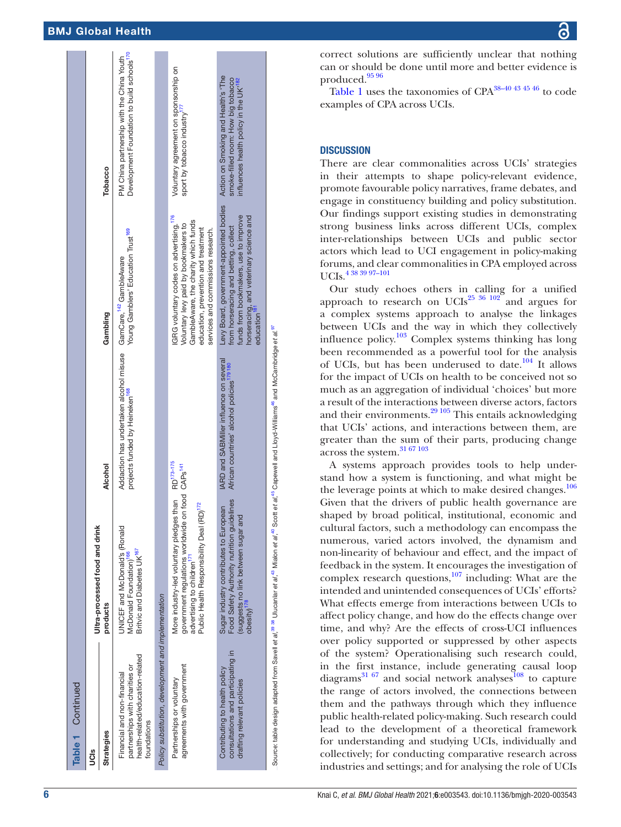| Table 1 Continued                                                                                                |                                                                                                                                                                                                                                  |                                                                                                                                                                                                                                       |                                                                                                                                                                                                                 |                                                                                                                                 |
|------------------------------------------------------------------------------------------------------------------|----------------------------------------------------------------------------------------------------------------------------------------------------------------------------------------------------------------------------------|---------------------------------------------------------------------------------------------------------------------------------------------------------------------------------------------------------------------------------------|-----------------------------------------------------------------------------------------------------------------------------------------------------------------------------------------------------------------|---------------------------------------------------------------------------------------------------------------------------------|
| UCIS                                                                                                             | Ultra-processed food and drink                                                                                                                                                                                                   |                                                                                                                                                                                                                                       |                                                                                                                                                                                                                 |                                                                                                                                 |
| Strategies                                                                                                       | products                                                                                                                                                                                                                         | Alcohol                                                                                                                                                                                                                               | Gambling                                                                                                                                                                                                        | Tobacco                                                                                                                         |
| health-related/education-related<br>partnerships with charities or<br>Financial and non-financial<br>foundations | UNICEF and McDonald's (Ronald<br>Britvic and Diabetes UK <sup>167</sup><br>McDonald Foundation) <sup>100</sup>                                                                                                                   | Addaction has undertaken alcohol misuse GamCare, 142 GambleAware<br>projects funded by Heineken <sup>168</sup>                                                                                                                        | Young Gamblers' Education Trust <sup>169</sup>                                                                                                                                                                  | Development Foundation to build schools <sup>170</sup><br>PM China partnership with the China Youth                             |
| Policy substitution, development and implementation                                                              |                                                                                                                                                                                                                                  |                                                                                                                                                                                                                                       |                                                                                                                                                                                                                 |                                                                                                                                 |
| agreements with government<br>Partnerships or voluntary                                                          | More industry-led voluntary pledges than RD <sup>173-175</sup><br>government regulations worldwide on food CAPs <sup>141</sup><br>Public Health Responsibility Deal (RD) <sup>172</sup><br>advertising to children <sup>17</sup> |                                                                                                                                                                                                                                       | GRG voluntary codes on advertising. <sup>176</sup><br>GambleAware, the charity which funds<br>Voluntary levy paid by bookmakers to<br>education, prevention and treatment<br>services and commissions research. | Voluntary agreement on sponsorship on<br>sport by tobacco industry <sup>177</sup>                                               |
| consultations and participating in<br>Contributing to health policy<br>drafting relevant policies                | Food Safety Authority nutrition guidelines<br>Sugar industry contributes to European<br>suggests no link between sugar and<br>$\overline{\text{obs}}$ ity) <sup>178</sup>                                                        | <b>IARD and SABMiller influence on several</b><br>African countries' alcohol policies <sup>179</sup> 180                                                                                                                              | Levy Board, government-appointed bodies<br>funds from bookmakers, use to improve<br>horseracing, and veterinary science and<br>from horseracing and betting, collect<br>education <sup>'</sup>                  | Action on Smoking and Health's 'The<br>smoke-filled room: How big tobacco<br>influences health policy in the UK <sup>1182</sup> |
|                                                                                                                  |                                                                                                                                                                                                                                  | Source: table design adapted from Savell et al, <sup>38</sup> 38 Ulucanlar et al, <sup>48</sup> Mialon et al, <sup>48</sup> Scott et al, <sup>46</sup> Capewell and Lloyd-Williams <sup>46</sup> and McCambridge et al. <sup>97</sup> |                                                                                                                                                                                                                 |                                                                                                                                 |

correct solutions are sufficiently unclear that nothing can or should be done until more and better evidence is produced[.95 96](#page-9-22)

[Table](#page-4-0) 1 uses the taxonomies of CPA[38–40 43 45 46](#page-8-7) to code examples of CPA across UCIs.

#### **DISCUSSION**

There are clear commonalities across UCIs' strategies in their attempts to shape policy-relevant evidence, promote favourable policy narratives, frame debates, and engage in constituency building and policy substitution. Our findings support existing studies in demonstrating strong business links across different UCIs, complex inter-relationships between UCIs and public sector actors which lead to UCI engagement in policy-making forums, and clear commonalities in CPA employed across UCIs.[4 38 39 97–101](#page-7-1)

Our study echoes others in calling for a unified approach to research on UCIs<sup>25 36 102</sup> and argues for a complex systems approach to analyse the linkages between UCIs and the way in which they collectively influence policy. $103$  Complex systems thinking has long been recommended as a powerful tool for the analysis of UCIs, but has been underused to date.[104](#page-9-24) It allows for the impact of UCIs on health to be conceived not so much as an aggregation of individual 'choices' but more a result of the interactions between diverse actors, factors and their environments.<sup>29</sup> <sup>105</sup> This entails acknowledging that UCIs' actions, and interactions between them, are greater than the sum of their parts, producing change across the system.[31 67 103](#page-8-35)

A systems approach provides tools to help understand how a system is functioning, and what might be the leverage points at which to make desired changes.<sup>106</sup> Given that the drivers of public health governance are shaped by broad political, institutional, economic and cultural factors, such a methodology can encompass the numerous, varied actors involved, the dynamism and non-linearity of behaviour and effect, and the impact of feedback in the system. It encourages the investigation of complex research questions,<sup>[107](#page-9-26)</sup> including: What are the intended and unintended consequences of UCIs' efforts? What effects emerge from interactions between UCIs to affect policy change, and how do the effects change over time, and why? Are the effects of cross-UCI influences over policy supported or suppressed by other aspects of the system? Operationalising such research could, in the first instance, include generating causal loop diagrams $^{31}$   $^{67}$  and social network analyses<sup>108</sup> to capture the range of actors involved, the connections between them and the pathways through which they influence public health-related policy-making. Such research could lead to the development of a theoretical framework for understanding and studying UCIs, individually and collectively; for conducting comparative research across industries and settings; and for analysing the role of UCIs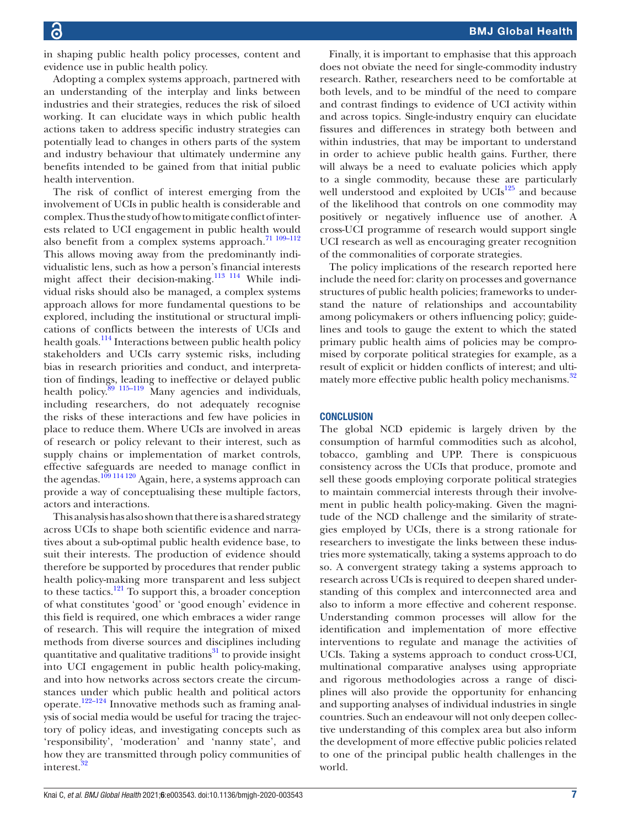in shaping public health policy processes, content and evidence use in public health policy.

Adopting a complex systems approach, partnered with an understanding of the interplay and links between industries and their strategies, reduces the risk of siloed working. It can elucidate ways in which public health actions taken to address specific industry strategies can potentially lead to changes in others parts of the system and industry behaviour that ultimately undermine any benefits intended to be gained from that initial public health intervention.

The risk of conflict of interest emerging from the involvement of UCIs in public health is considerable and complex. Thus the study of how to mitigate conflict of interests related to UCI engagement in public health would also benefit from a complex systems approach.<sup>71 109-112</sup> This allows moving away from the predominantly individualistic lens, such as how a person's financial interests might affect their decision-making.<sup>[113 114](#page-9-29)</sup> While individual risks should also be managed, a complex systems approach allows for more fundamental questions to be explored, including the institutional or structural implications of conflicts between the interests of UCIs and health goals.<sup>[114](#page-9-30)</sup> Interactions between public health policy stakeholders and UCIs carry systemic risks, including bias in research priorities and conduct, and interpretation of findings, leading to ineffective or delayed public health policy.<sup>89</sup> <sup>115–119</sup> Many agencies and individuals, including researchers, do not adequately recognise the risks of these interactions and few have policies in place to reduce them. Where UCIs are involved in areas of research or policy relevant to their interest, such as supply chains or implementation of market controls, effective safeguards are needed to manage conflict in the agendas.<sup>109</sup> 114 120</sup> Again, here, a systems approach can provide a way of conceptualising these multiple factors, actors and interactions.

This analysis has also shown that there is a shared strategy across UCIs to shape both scientific evidence and narratives about a sub-optimal public health evidence base, to suit their interests. The production of evidence should therefore be supported by procedures that render public health policy-making more transparent and less subject to these tactics.[121](#page-9-32) To support this, a broader conception of what constitutes 'good' or 'good enough' evidence in this field is required, one which embraces a wider range of research. This will require the integration of mixed methods from diverse sources and disciplines including quantitative and qualitative traditions $31$  to provide insight into UCI engagement in public health policy-making, and into how networks across sectors create the circumstances under which public health and political actors operate[.122–124](#page-9-33) Innovative methods such as framing analysis of social media would be useful for tracing the trajectory of policy ideas, and investigating concepts such as 'responsibility', 'moderation' and 'nanny state', and how they are transmitted through policy communities of interest.<sup>32</sup>

Finally, it is important to emphasise that this approach does not obviate the need for single-commodity industry research. Rather, researchers need to be comfortable at both levels, and to be mindful of the need to compare and contrast findings to evidence of UCI activity within and across topics. Single-industry enquiry can elucidate fissures and differences in strategy both between and within industries, that may be important to understand in order to achieve public health gains. Further, there will always be a need to evaluate policies which apply to a single commodity, because these are particularly well understood and exploited by  $UCIs^{125}$  $UCIs^{125}$  $UCIs^{125}$  and because of the likelihood that controls on one commodity may positively or negatively influence use of another. A cross-UCI programme of research would support single UCI research as well as encouraging greater recognition of the commonalities of corporate strategies.

The policy implications of the research reported here include the need for: clarity on processes and governance structures of public health policies; frameworks to understand the nature of relationships and accountability among policymakers or others influencing policy; guidelines and tools to gauge the extent to which the stated primary public health aims of policies may be compromised by corporate political strategies for example, as a result of explicit or hidden conflicts of interest; and ulti-mately more effective public health policy mechanisms.<sup>[32](#page-8-4)</sup>

#### **CONCLUSION**

The global NCD epidemic is largely driven by the consumption of harmful commodities such as alcohol, tobacco, gambling and UPP. There is conspicuous consistency across the UCIs that produce, promote and sell these goods employing corporate political strategies to maintain commercial interests through their involvement in public health policy-making. Given the magnitude of the NCD challenge and the similarity of strategies employed by UCIs, there is a strong rationale for researchers to investigate the links between these industries more systematically, taking a systems approach to do so. A convergent strategy taking a systems approach to research across UCIs is required to deepen shared understanding of this complex and interconnected area and also to inform a more effective and coherent response. Understanding common processes will allow for the identification and implementation of more effective interventions to regulate and manage the activities of UCIs. Taking a systems approach to conduct cross-UCI, multinational comparative analyses using appropriate and rigorous methodologies across a range of disciplines will also provide the opportunity for enhancing and supporting analyses of individual industries in single countries. Such an endeavour will not only deepen collective understanding of this complex area but also inform the development of more effective public policies related to one of the principal public health challenges in the world.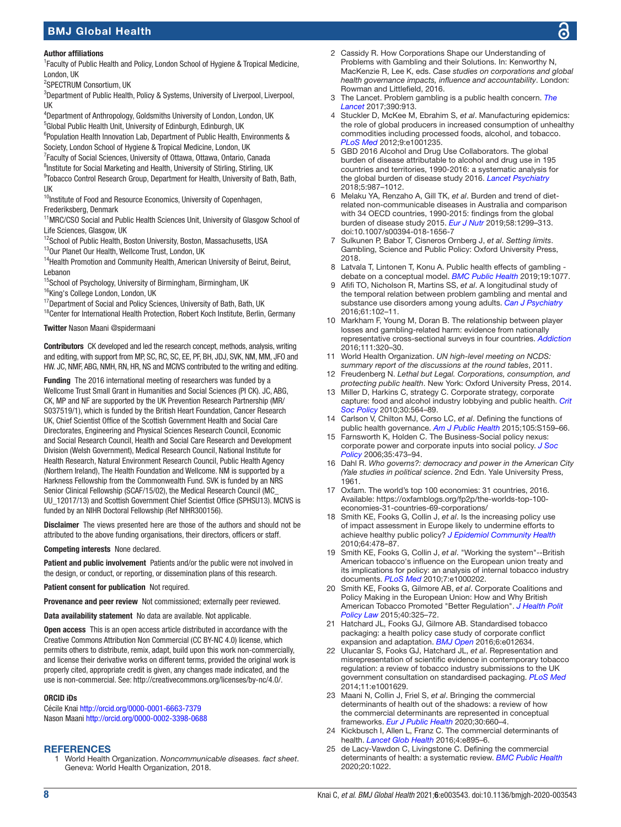#### Author affiliations

<sup>1</sup> Faculty of Public Health and Policy, London School of Hygiene & Tropical Medicine, London, UK

<sup>2</sup>SPECTRUM Consortium, UK

<sup>3</sup>Department of Public Health, Policy & Systems, University of Liverpool, Liverpool, UK

4 Department of Anthropology, Goldsmiths University of London, London, UK <sup>5</sup>Global Public Health Unit, University of Edinburgh, Edinburgh, UK

<sup>6</sup>Population Health Innovation Lab, Department of Public Health, Environments & Society, London School of Hygiene & Tropical Medicine, London, UK

<sup>7</sup> Faculty of Social Sciences, University of Ottawa, Ottawa, Ontario, Canada

<sup>8</sup>Institute for Social Marketing and Health, University of Stirling, Stirling, UK

<sup>9</sup>Tobacco Control Research Group, Department for Health, University of Bath, Bath, UK

<sup>10</sup>Institute of Food and Resource Economics, University of Copenhagen, Frederiksberg, Denmark

<sup>11</sup>MRC/CSO Social and Public Health Sciences Unit, University of Glasgow School of Life Sciences, Glasgow, UK

<sup>12</sup>School of Public Health, Boston University, Boston, Massachusetts, USA

13Our Planet Our Health, Wellcome Trust, London, UK

<sup>14</sup> Health Promotion and Community Health, American University of Beirut, Beirut, Lebanon

<sup>15</sup>School of Psychology, University of Birmingham, Birmingham, UK <sup>16</sup>King's College London, London, UK

<sup>17</sup>Department of Social and Policy Sciences, University of Bath, Bath, UK

<sup>18</sup>Center for International Health Protection, Robert Koch Institute, Berlin, Germany

Twitter Nason Maani [@spidermaani](https://twitter.com/spidermaani)

Contributors CK developed and led the research concept, methods, analysis, writing and editing, with support from MP, SC, RC, SC, EE, PF, BH, JDJ, SVK, NM, MM, JFO and HW. JC, NMF, ABG, NMH, RN, HR, NS and MCIVS contributed to the writing and editing.

Funding The 2016 international meeting of researchers was funded by a Wellcome Trust Small Grant in Humanities and Social Sciences (PI CK). JC, ABG, CK, MP and NF are supported by the UK Prevention Research Partnership (MR/ S037519/1), which is funded by the British Heart Foundation, Cancer Research UK, Chief Scientist Office of the Scottish Government Health and Social Care Directorates, Engineering and Physical Sciences Research Council, Economic and Social Research Council, Health and Social Care Research and Development Division (Welsh Government), Medical Research Council, National Institute for Health Research, Natural Environment Research Council, Public Health Agency (Northern Ireland), The Health Foundation and Wellcome. NM is supported by a Harkness Fellowship from the Commonwealth Fund. SVK is funded by an NRS Senior Clinical Fellowship (SCAF/15/02), the Medical Research Council (MC\_ UU\_12017/13) and Scottish Government Chief Scientist Office (SPHSU13). MCIVS is funded by an NIHR Doctoral Fellowship (Ref NIHR300156).

Disclaimer The views presented here are those of the authors and should not be attributed to the above funding organisations, their directors, officers or staff.

Competing interests None declared.

Patient and public involvement Patients and/or the public were not involved in the design, or conduct, or reporting, or dissemination plans of this research.

Patient consent for publication Not required.

Provenance and peer review Not commissioned; externally peer reviewed.

Data availability statement No data are available. Not applicable.

Open access This is an open access article distributed in accordance with the Creative Commons Attribution Non Commercial (CC BY-NC 4.0) license, which permits others to distribute, remix, adapt, build upon this work non-commercially, and license their derivative works on different terms, provided the original work is properly cited, appropriate credit is given, any changes made indicated, and the use is non-commercial. See:<http://creativecommons.org/licenses/by-nc/4.0/>.

#### ORCID iDs

Cécile Knai <http://orcid.org/0000-0001-6663-7379> Nason Maani <http://orcid.org/0000-0002-3398-0688>

#### <span id="page-7-0"></span>**REFERENCES**

1 World Health Organization. *Noncommunicable diseases. fact sheet*. Geneva: World Health Organization, 2018.

- <span id="page-7-2"></span>2 Cassidy R. How Corporations Shape our Understanding of Problems with Gambling and their Solutions. In: Kenworthy N, MacKenzie R, Lee K, eds. *Case studies on corporations and global health governance impacts, influence and accountability*. London: Rowman and Littlefield, 2016.
- 3 The Lancet. Problem gambling is a public health concern. *[The](http://dx.doi.org/10.1016/S0140-6736(17)32333-4)  [Lancet](http://dx.doi.org/10.1016/S0140-6736(17)32333-4)* 2017;390:913.
- <span id="page-7-1"></span>4 Stuckler D, McKee M, Ebrahim S, *et al*. Manufacturing epidemics: the role of global producers in increased consumption of unhealthy commodities including processed foods, alcohol, and tobacco. *[PLoS Med](http://dx.doi.org/10.1371/journal.pmed.1001235)* 2012;9:e1001235.
- 5 GBD 2016 Alcohol and Drug Use Collaborators. The global burden of disease attributable to alcohol and drug use in 195 countries and territories, 1990-2016: a systematic analysis for the global burden of disease study 2016. *[Lancet Psychiatry](http://dx.doi.org/10.1016/S2215-0366(18)30337-7)* 2018;5:987–1012.
- 6 Melaku YA, Renzaho A, Gill TK, *et al*. Burden and trend of dietrelated non-communicable diseases in Australia and comparison with 34 OECD countries, 1990-2015: findings from the global burden of disease study 2015. *[Eur J Nutr](http://dx.doi.org/10.1007/s00394-018-1656-7)* 2019;58:1299–313. doi:10.1007/s00394-018-1656-7
- 7 Sulkunen P, Babor T, Cisneros Ornberg J, *et al*. *Setting limits*. Gambling, Science and Public Policy: Oxford University Press, 2018.
- 8 Latvala T, Lintonen T, Konu A. Public health effects of gambling debate on a conceptual model. *[BMC Public Health](http://dx.doi.org/10.1186/s12889-019-7391-z)* 2019;19:1077.
- 9 Afifi TO, Nicholson R, Martins SS, *et al*. A longitudinal study of the temporal relation between problem gambling and mental and substance use disorders among young adults. *[Can J Psychiatry](http://dx.doi.org/10.1177/0706743715625950)* 2016;61:102–11.
- <span id="page-7-3"></span>10 Markham F, Young M, Doran B. The relationship between player losses and gambling-related harm: evidence from nationally representative cross-sectional surveys in four countries. *[Addiction](http://dx.doi.org/10.1111/add.13178)* 2016;111:320–30.
- <span id="page-7-4"></span>11 World Health Organization. *UN high-level meeting on NCDS: summary report of the discussions at the round tables*, 2011.
- <span id="page-7-5"></span>12 Freudenberg N. *Lethal but Legal. Corporations, consumption, and protecting public health*. New York: Oxford University Press, 2014.
- <span id="page-7-7"></span>13 Miller D, Harkins C, strategy C. Corporate strategy, corporate capture: food and alcohol industry lobbying and public health. *[Crit](http://dx.doi.org/10.1177/0261018310376805)  [Soc Policy](http://dx.doi.org/10.1177/0261018310376805)* 2010;30:564–89.
- <span id="page-7-6"></span>14 Carlson V, Chilton MJ, Corso LC, *et al*. Defining the functions of public health governance. *[Am J Public Health](http://dx.doi.org/10.2105/AJPH.2014.302198)* 2015;105:S159–66.
- <span id="page-7-8"></span>15 Farnsworth K, Holden C. The Business-Social policy nexus: corporate power and corporate inputs into social policy. *[J Soc](http://dx.doi.org/10.1017/S0047279406009883)  [Policy](http://dx.doi.org/10.1017/S0047279406009883)* 2006;35:473–94.
- <span id="page-7-9"></span>16 Dahl R. *Who governs?: democracy and power in the American City (Yale studies in political science*. 2nd Edn. Yale University Press, 1961.
- <span id="page-7-10"></span>17 Oxfam. The world's top 100 economies: 31 countries, 2016. Available: [https://oxfamblogs.org/fp2p/the-worlds-top-100](https://oxfamblogs.org/fp2p/the-worlds-top-100-economies-31-countries-69-corporations/) [economies-31-countries-69-corporations/](https://oxfamblogs.org/fp2p/the-worlds-top-100-economies-31-countries-69-corporations/)
- <span id="page-7-11"></span>18 Smith KE, Fooks G, Collin J, *et al*. Is the increasing policy use of impact assessment in Europe likely to undermine efforts to achieve healthy public policy? *[J Epidemiol Community Health](http://dx.doi.org/10.1136/jech.2009.094300)* 2010;64:478–87.
- 19 Smith KE, Fooks G, Collin J, *et al*. "Working the system"--British American tobacco's influence on the European union treaty and its implications for policy: an analysis of internal tobacco industry documents. *[PLoS Med](http://dx.doi.org/10.1371/journal.pmed.1000202)* 2010;7:e1000202.
- 20 Smith KE, Fooks G, Gilmore AB, *et al*. Corporate Coalitions and Policy Making in the European Union: How and Why British American Tobacco Promoted "Better Regulation". *[J Health Polit](http://dx.doi.org/10.1215/03616878-2882231)  [Policy Law](http://dx.doi.org/10.1215/03616878-2882231)* 2015;40:325–72.
- <span id="page-7-12"></span>21 Hatchard JL, Fooks GJ, Gilmore AB. Standardised tobacco packaging: a health policy case study of corporate conflict expansion and adaptation. *[BMJ Open](http://dx.doi.org/10.1136/bmjopen-2016-012634)* 2016;6:e012634.
- 22 Ulucanlar S, Fooks GJ, Hatchard JL, *et al*. Representation and misrepresentation of scientific evidence in contemporary tobacco regulation: a review of tobacco industry submissions to the UK government consultation on standardised packaging. *[PLoS Med](http://dx.doi.org/10.1371/journal.pmed.1001629)* 2014;11:e1001629.
- <span id="page-7-13"></span>23 Maani N, Collin J, Friel S, *et al*. Bringing the commercial determinants of health out of the shadows: a review of how the commercial determinants are represented in conceptual frameworks. *[Eur J Public Health](http://dx.doi.org/10.1093/eurpub/ckz197)* 2020;30:660–4.
- 24 Kickbusch I, Allen L, Franz C. The commercial determinants of health. *[Lancet Glob Health](http://dx.doi.org/10.1016/S2214-109X(16)30217-0)* 2016;4:e895–6.
- <span id="page-7-14"></span>25 de Lacy-Vawdon C, Livingstone C. Defining the commercial determinants of health: a systematic review. *[BMC Public Health](http://dx.doi.org/10.1186/s12889-020-09126-1)* 2020;20:1022.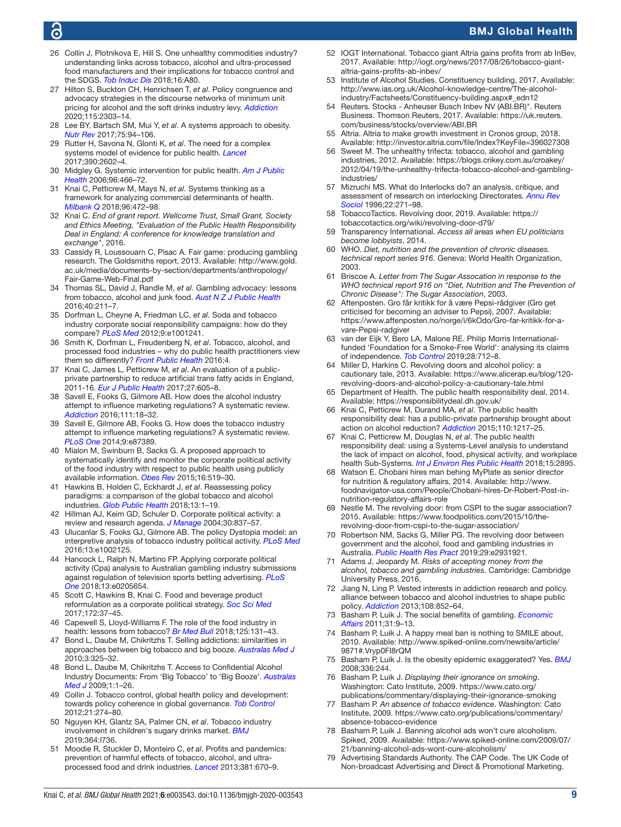- <span id="page-8-0"></span>26 Collin J, Plotnikova E, Hill S. One unhealthy commodities industry? understanding links across tobacco, alcohol and ultra-processed food manufacturers and their implications for tobacco control and the SDGS. *[Tob Induc Dis](http://dx.doi.org/10.18332/tid/83806)* 2018;16:A80.
- 27 Hilton S, Buckton CH, Henrichsen T, *et al*. Policy congruence and advocacy strategies in the discourse networks of minimum unit pricing for alcohol and the soft drinks industry levy. *[Addiction](http://dx.doi.org/10.1111/add.15068)* 2020;115:2303–14.
- <span id="page-8-1"></span>28 Lee BY, Bartsch SM, Mui Y, *et al*. A systems approach to obesity. *[Nutr Rev](http://dx.doi.org/10.1093/nutrit/nuw049)* 2017;75:94–106.
- <span id="page-8-2"></span>29 Rutter H, Savona N, Glonti K, *et al*. The need for a complex systems model of evidence for public health. *[Lancet](http://dx.doi.org/10.1016/S0140-6736(17)31267-9)* 2017;390:2602–4.
- <span id="page-8-3"></span>30 Midgley G. Systemic intervention for public health. *[Am J Public](http://dx.doi.org/10.2105/AJPH.2005.067660)  [Health](http://dx.doi.org/10.2105/AJPH.2005.067660)* 2006;96:466–72.
- <span id="page-8-35"></span>31 Knai C, Petticrew M, Mays N, *et al*. Systems thinking as a framework for analyzing commercial determinants of health. *[Milbank Q](http://dx.doi.org/10.1111/1468-0009.12339)* 2018;96:472–98.
- <span id="page-8-4"></span>32 Knai C. *End of grant report. Wellcome Trust, Small Grant, Society and Ethics Meeting, "Evaluation of the Public Health Responsibility Deal in England: A conference for knowledge translation and exchange"*, 2016.
- <span id="page-8-5"></span>33 Cassidy R, Loussouarn C, Pisac A. Fair game: producing gambling research. The Goldsmiths report, 2013. Available: [http://www.gold.](http://www.gold.ac.uk/media/documents-by-section/departments/anthropology/Fair-Game-Web-Final.pdf) [ac.uk/media/documents-by-section/departments/anthropology/](http://www.gold.ac.uk/media/documents-by-section/departments/anthropology/Fair-Game-Web-Final.pdf) [Fair-Game-Web-Final.pdf](http://www.gold.ac.uk/media/documents-by-section/departments/anthropology/Fair-Game-Web-Final.pdf)
- 34 Thomas SL, David J, Randle M, *et al*. Gambling advocacy: lessons from tobacco, alcohol and junk food. *[Aust N Z J Public Health](http://dx.doi.org/10.1111/1753-6405.12410)* 2016;40:211–7.
- 35 Dorfman L, Cheyne A, Friedman LC, *et al*. Soda and tobacco industry corporate social responsibility campaigns: how do they compare? *[PLoS Med](http://dx.doi.org/10.1371/journal.pmed.1001241)* 2012;9:e1001241.
- 36 Smith K, Dorfman L, Freudenberg N, *et al*. Tobacco, alcohol, and processed food industries – why do public health practitioners view them so differently? *[Front Public Health](http://dx.doi.org/10.3389/fpubh.2016.00064)* 2016;4.
- 37 Knai C, James L, Petticrew M, *et al*. An evaluation of a publicprivate partnership to reduce artificial trans fatty acids in England, 2011-16. *[Eur J Public Health](http://dx.doi.org/10.1093/eurpub/ckx002)* 2017;27:605–8.
- <span id="page-8-7"></span>38 Savell E, Fooks G, Gilmore AB. How does the alcohol industry attempt to influence marketing regulations? A systematic review. *[Addiction](http://dx.doi.org/10.1111/add.13048)* 2016;111:18–32.
- <span id="page-8-8"></span>39 Savell E, Gilmore AB, Fooks G. How does the tobacco industry attempt to influence marketing regulations? A systematic review. *[PLoS One](http://dx.doi.org/10.1371/journal.pone.0087389)* 2014;9:e87389.
- <span id="page-8-37"></span>40 Mialon M, Swinburn B, Sacks G. A proposed approach to systematically identify and monitor the corporate political activity of the food industry with respect to public health using publicly available information. *[Obes Rev](http://dx.doi.org/10.1111/obr.12289)* 2015;16:519–30.
- 41 Hawkins B, Holden C, Eckhardt J, *et al*. Reassessing policy paradigms: a comparison of the global tobacco and alcohol industries. *[Glob Public Health](http://dx.doi.org/10.1080/17441692.2016.1161815)* 2018;13:1–19.
- <span id="page-8-6"></span>42 Hillman AJ, Keim GD, Schuler D. Corporate political activity: a review and research agenda. *[J Manage](http://dx.doi.org/10.1016/j.jm.2004.06.003)* 2004;30:837–57.
- <span id="page-8-36"></span>43 Ulucanlar S, Fooks GJ, Gilmore AB. The policy Dystopia model: an interpretive analysis of tobacco industry political activity. *[PLoS Med](http://dx.doi.org/10.1371/journal.pmed.1002125)* 2016;13:e1002125.
- 44 Hancock L, Ralph N, Martino FP. Applying corporate political activity (Cpa) analysis to Australian gambling industry submissions against regulation of television sports betting advertising. *[PLoS](http://dx.doi.org/10.1371/journal.pone.0205654)  [One](http://dx.doi.org/10.1371/journal.pone.0205654)* 2018;13:e0205654.
- <span id="page-8-9"></span>45 Scott C, Hawkins B, Knai C. Food and beverage product reformulation as a corporate political strategy. *[Soc Sci Med](http://dx.doi.org/10.1016/j.socscimed.2016.11.020)* 2017;172:37–45.
- <span id="page-8-10"></span>46 Capewell S, Lloyd-Williams F. The role of the food industry in health: lessons from tobacco? *[Br Med Bull](http://dx.doi.org/10.1093/bmb/ldy002)* 2018;125:131–43.
- 47 Bond L, Daube M, Chikritzhs T. Selling addictions: similarities in approaches between big tobacco and big booze. *[Australas Med J](http://dx.doi.org/10.4066/AMJ.2010.363)* 2010;3:325–32.
- 48 Bond L, Daube M, Chikritzhs T. Access to Confidential Alcohol Industry Documents: From 'Big Tobacco' to 'Big Booze'. *[Australas](http://dx.doi.org/10.4066/AMJ.2009.43)  [Med J](http://dx.doi.org/10.4066/AMJ.2009.43)* 2009;1:1–26.
- 49 Collin J. Tobacco control, global health policy and development: towards policy coherence in global governance. *[Tob Control](http://dx.doi.org/10.1136/tobaccocontrol-2011-050418)* 2012;21:274–80.
- <span id="page-8-11"></span>50 Nguyen KH, Glantz SA, Palmer CN, *et al*. Tobacco industry involvement in children's sugary drinks market. *[BMJ](http://dx.doi.org/10.1136/bmj.l736)* 2019;364:l736.
- <span id="page-8-12"></span>51 Moodie R, Stuckler D, Monteiro C, *et al*. Profits and pandemics: prevention of harmful effects of tobacco, alcohol, and ultraprocessed food and drink industries. *[Lancet](http://dx.doi.org/10.1016/S0140-6736(12)62089-3)* 2013;381:670–9.
- <span id="page-8-13"></span>52 IOGT International. Tobacco giant Altria gains profits from ab InBev, 2017. Available: [http://iogt.org/news/2017/08/26/tobacco-giant](http://iogt.org/news/2017/08/26/tobacco-giant-altria-gains-profits-ab-inbev/)[altria-gains-profits-ab-inbev/](http://iogt.org/news/2017/08/26/tobacco-giant-altria-gains-profits-ab-inbev/)
- 53 Institute of Alcohol Studies. Constituency building, 2017. Available: [http://www.ias.org.uk/Alcohol-knowledge-centre/The-alcohol](http://www.ias.org.uk/Alcohol-knowledge-centre/The-alcohol-industry/Factsheets/Constituency-building.aspx#_edn12)[industry/Factsheets/Constituency-building.aspx#\\_edn12](http://www.ias.org.uk/Alcohol-knowledge-centre/The-alcohol-industry/Factsheets/Constituency-building.aspx#_edn12)
- <span id="page-8-14"></span>54 Reuters. Stocks - Anheuser Busch Inbev NV (ABI.BR)". Reuters Business. Thomson Reuters, 2017. Available: [https://uk.reuters.](https://uk.reuters.com/business/stocks/overview/ABI.BR) [com/business/stocks/overview/ABI.BR](https://uk.reuters.com/business/stocks/overview/ABI.BR)
- <span id="page-8-15"></span>55 Altria. Altria to make growth investment in Cronos group, 2018. Available:<http://investor.altria.com/file/Index?KeyFile=396027308>
- <span id="page-8-16"></span>56 Sweet M. The unhealthy trifecta: tobacco, alcohol and gambling industries, 2012. Available: [https://blogs.crikey.com.au/croakey/](https://blogs.crikey.com.au/croakey/2012/04/19/the-unhealthy-trifecta-tobacco-alcohol-and-gambling-industries/) [2012/04/19/the-unhealthy-trifecta-tobacco-alcohol-and-gambling](https://blogs.crikey.com.au/croakey/2012/04/19/the-unhealthy-trifecta-tobacco-alcohol-and-gambling-industries/)[industries/](https://blogs.crikey.com.au/croakey/2012/04/19/the-unhealthy-trifecta-tobacco-alcohol-and-gambling-industries/)
- <span id="page-8-17"></span>57 Mizruchi MS. What do Interlocks do? an analysis, critique, and assessment of research on interlocking Directorates. *[Annu Rev](http://dx.doi.org/10.1146/annurev.soc.22.1.271)  [Sociol](http://dx.doi.org/10.1146/annurev.soc.22.1.271)* 1996;22:271–98.
- 58 TobaccoTactics. Revolving door, 2019. Available: [https://](https://tobaccotactics.org/wiki/revolving-door-d79/) [tobaccotactics.org/wiki/revolving-door-d79/](https://tobaccotactics.org/wiki/revolving-door-d79/)
- <span id="page-8-18"></span>59 Transparency International. *Access all areas when EU politicians become lobbyists*, 2014.
- <span id="page-8-19"></span>60 WHO. *Diet, nutrition and the prevention of chronic diseases. technical report series 916*. Geneva: World Health Organization, 2003.
- <span id="page-8-20"></span>61 Briscoe A. *Letter from The Sugar Assocation in response to the WHO technical report 916 on "Diet, Nutrition and The Prevention of Chronic Disease": The Sugar Association*, 2003.
- <span id="page-8-21"></span>62 Aftenposten. Gro får kritikk for å være Pepsi-rådgiver (Gro get criticised for becoming an adviser to Pepsi), 2007. Available: [https://www.aftenposten.no/norge/i/6kOdo/Gro-far-kritikk-for-a](https://www.aftenposten.no/norge/i/6kOdo/Gro-far-kritikk-for-a-vare-Pepsi-radgiver)[vare-Pepsi-radgiver](https://www.aftenposten.no/norge/i/6kOdo/Gro-far-kritikk-for-a-vare-Pepsi-radgiver)
- <span id="page-8-22"></span>63 van der Eijk Y, Bero LA, Malone RE. Philip Morris Internationalfunded 'Foundation for a Smoke-Free World': analysing its claims of independence. *[Tob Control](http://dx.doi.org/10.1136/tobaccocontrol-2018-054278)* 2019;28:712–8.
- <span id="page-8-23"></span>64 Miller D, Harkins C. Revolving doors and alcohol policy: a cautionary tale, 2013. Available: [https://www.alicerap.eu/blog/120](https://www.alicerap.eu/blog/120-revolving-doors-and-alcohol-policy-a-cautionary-tale.html) [revolving-doors-and-alcohol-policy-a-cautionary-tale.html](https://www.alicerap.eu/blog/120-revolving-doors-and-alcohol-policy-a-cautionary-tale.html)
- <span id="page-8-24"></span>65 Department of Health. The public health responsibility deal, 2014. Available:<https://responsibilitydeal.dh.gov.uk/>
- <span id="page-8-25"></span>66 Knai C, Petticrew M, Durand MA, *et al*. The public health responsibility deal: has a public-private partnership brought about action on alcohol reduction? *[Addiction](http://dx.doi.org/10.1111/add.12892)* 2015;110:1217–25.
- 67 Knai C, Petticrew M, Douglas N, *et al*. The public health responsibility deal: using a Systems-Level analysis to understand the lack of impact on alcohol, food, physical activity, and workplace health Sub-Systems. *[Int J Environ Res Public Health](http://dx.doi.org/10.3390/ijerph15122895)* 2018;15:2895.
- <span id="page-8-26"></span>68 Watson E. Chobani hires man behing MyPlate as senior director for nutrition & regulatory affairs, 2014. Available: [http://www.](http://www.foodnavigator-usa.com/People/Chobani-hires-Dr-Robert-Post-in-nutrition-regulatory-affairs-role) [foodnavigator-usa.com/People/Chobani-hires-Dr-Robert-Post-in](http://www.foodnavigator-usa.com/People/Chobani-hires-Dr-Robert-Post-in-nutrition-regulatory-affairs-role)[nutrition-regulatory-affairs-role](http://www.foodnavigator-usa.com/People/Chobani-hires-Dr-Robert-Post-in-nutrition-regulatory-affairs-role)
- <span id="page-8-27"></span>69 Nestle M. The revolving door: from CSPI to the sugar association? 2015. Available: [https://www.foodpolitics.com/2015/10/the](https://www.foodpolitics.com/2015/10/the-revolving-door-from-cspi-to-the-sugar-association/)[revolving-door-from-cspi-to-the-sugar-association/](https://www.foodpolitics.com/2015/10/the-revolving-door-from-cspi-to-the-sugar-association/)
- <span id="page-8-28"></span>70 Robertson NM, Sacks G, Miller PG. The revolving door between government and the alcohol, food and gambling industries in Australia. *[Public Health Res Pract](http://dx.doi.org/10.17061/phrp2931921)* 2019;29:e2931921.
- <span id="page-8-29"></span>71 Adams J, Jeopardy M. *Risks of accepting money from the alcohol, tobacco and gambling industries*. Cambridge: Cambridge University Press, 2016.
- 72 Jiang N, Ling P. Vested interests in addiction research and policy. alliance between tobacco and alcohol industries to shape public policy. *[Addiction](http://dx.doi.org/10.1111/add.12134)* 2013;108:852–64.
- <span id="page-8-30"></span>73 Basham P, Luik J. The social benefits of gambling. *[Economic](http://dx.doi.org/10.1111/j.1468-0270.2010.02041.x)  [Affairs](http://dx.doi.org/10.1111/j.1468-0270.2010.02041.x)* 2011;31:9–13.
- <span id="page-8-31"></span>74 Basham P, Luik J. A happy meal ban is nothing to SMILE about, 2010. Available: [http://www.spiked-online.com/newsite/article/](http://www.spiked-online.com/newsite/article/9871#.Vryp0FI8rQM) [9871#.Vryp0FI8rQM](http://www.spiked-online.com/newsite/article/9871#.Vryp0FI8rQM)
- 75 Basham P, Luik J. Is the obesity epidemic exaggerated? Yes. *[BMJ](http://dx.doi.org/10.1136/bmj.39458.480764.AD)* 2008;336:244.
- <span id="page-8-32"></span>76 Basham P, Luik J. *Displaying their ignorance on smoking*. Washington: Cato Institute, 2009. [https://www.cato.org/](https://www.cato.org/publications/commentary/displaying-their-ignorance-smoking) [publications/commentary/displaying-their-ignorance-smoking](https://www.cato.org/publications/commentary/displaying-their-ignorance-smoking)
- 77 Basham P. *An absence of tobacco evidence*. Washington: Cato Institute, 2009. [https://www.cato.org/publications/commentary/](https://www.cato.org/publications/commentary/absence-tobacco-evidence) [absence-tobacco-evidence](https://www.cato.org/publications/commentary/absence-tobacco-evidence)
- <span id="page-8-33"></span>78 Basham P, Luik J. Banning alcohol ads won't cure alcoholism. Spiked, 2009. Available: [https://www.spiked-online.com/2009/07/](https://www.spiked-online.com/2009/07/21/banning-alcohol-ads-wont-cure-alcoholism/) [21/banning-alcohol-ads-wont-cure-alcoholism/](https://www.spiked-online.com/2009/07/21/banning-alcohol-ads-wont-cure-alcoholism/)
- <span id="page-8-34"></span>Advertising Standards Authority. The CAP Code. The UK Code of Non-broadcast Advertising and Direct & Promotional Marketing.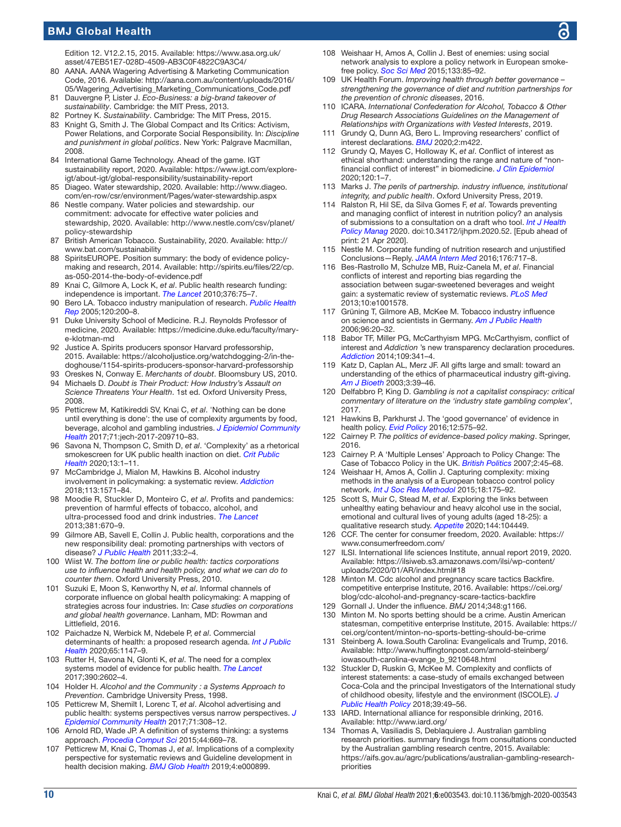Edition 12. V12.2.15, 2015. Available: [https://www.asa.org.uk/](https://www.asa.org.uk/asset/47EB51E7-028D-4509-AB3C0F4822C9A3C4/) [asset/47EB51E7-028D-4509-AB3C0F4822C9A3C4/](https://www.asa.org.uk/asset/47EB51E7-028D-4509-AB3C0F4822C9A3C4/)

- <span id="page-9-0"></span>80 AANA. AANA Wagering Advertising & Marketing Communication Code, 2016. Available: [http://aana.com.au/content/uploads/2016/](http://aana.com.au/content/uploads/2016/05/Wagering_Advertising_Marketing_Communications_Code.pdf) [05/Wagering\\_Advertising\\_Marketing\\_Communications\\_Code.pdf](http://aana.com.au/content/uploads/2016/05/Wagering_Advertising_Marketing_Communications_Code.pdf)
- <span id="page-9-1"></span>81 Dauvergne P, Lister J. *Eco-Business: a big-brand takeover of sustainability*. Cambridge: the MIT Press, 2013.
- 82 Portney K. *Sustainability*. Cambridge: The MIT Press, 2015.
- <span id="page-9-2"></span>83 Knight G, Smith J. The Global Compact and Its Critics: Activism, Power Relations, and Corporate Social Responsibility. In: *Discipline and punishment in global politics*. New York: Palgrave Macmillan, 2008.
- <span id="page-9-3"></span>84 International Game Technology. Ahead of the game. IGT sustainability report, 2020. Available: [https://www.igt.com/explore](https://www.igt.com/explore-igt/about-igt/global-responsibility/sustainability-report)[igt/about-igt/global-responsibility/sustainability-report](https://www.igt.com/explore-igt/about-igt/global-responsibility/sustainability-report)
- <span id="page-9-4"></span>85 Diageo. Water stewardship, 2020. Available: [http://www.diageo.](http://www.diageo.com/en-row/csr/environment/Pages/water-stewardship.aspx) [com/en-row/csr/environment/Pages/water-stewardship.aspx](http://www.diageo.com/en-row/csr/environment/Pages/water-stewardship.aspx)
- <span id="page-9-5"></span>86 Nestle company. Water policies and stewardship. our commitment: advocate for effective water policies and stewardship, 2020. Available: [http://www.nestle.com/csv/planet/](http://www.nestle.com/csv/planet/policy-stewardship) [policy-stewardship](http://www.nestle.com/csv/planet/policy-stewardship)
- <span id="page-9-6"></span>87 British American Tobacco. Sustainability, 2020. Available: [http://](http://www.bat.com/sustainability) [www.bat.com/sustainability](http://www.bat.com/sustainability)
- <span id="page-9-7"></span>88 SpiritsEUROPE. Position summary: the body of evidence policymaking and research, 2014. Available: [http://spirits.eu/files/22/cp.](http://spirits.eu/files/22/cp.as-050-2014-the-body-of-evidence.pdf) [as-050-2014-the-body-of-evidence.pdf](http://spirits.eu/files/22/cp.as-050-2014-the-body-of-evidence.pdf)
- <span id="page-9-8"></span>89 Knai C, Gilmore A, Lock K, *et al*. Public health research funding: independence is important. *[The Lancet](http://dx.doi.org/10.1016/S0140-6736(09)62063-8)* 2010;376:75–7.
- <span id="page-9-9"></span>90 Bero LA. Tobacco industry manipulation of research. *[Public Health](http://dx.doi.org/10.1177/003335490512000215)  [Rep](http://dx.doi.org/10.1177/003335490512000215)* 2005;120:200–8.
- <span id="page-9-10"></span>91 Duke University School of Medicine. R.J. Reynolds Professor of medicine, 2020. Available: [https://medicine.duke.edu/faculty/mary](https://medicine.duke.edu/faculty/mary-e-klotman-md)[e-klotman-md](https://medicine.duke.edu/faculty/mary-e-klotman-md)
- <span id="page-9-11"></span>92 Justice A. Spirits producers sponsor Harvard professorship, 2015. Available: [https://alcoholjustice.org/watchdogging-2/in-the](https://alcoholjustice.org/watchdogging-2/in-the-doghouse/1154-spirits-producers-sponsor-harvard-professorship)[doghouse/1154-spirits-producers-sponsor-harvard-professorship](https://alcoholjustice.org/watchdogging-2/in-the-doghouse/1154-spirits-producers-sponsor-harvard-professorship)
- <span id="page-9-12"></span>93 Oreskes N, Conway E. *Merchants of doubt*. Bloomsbury US, 2010. 94 Michaels D. *Doubt is Their Product: How Industry's Assault on*
- *Science Threatens Your Health*. 1st ed. Oxford University Press, 2008. 95 Petticrew M, Katikireddi SV, Knai C, *et al*. 'Nothing can be done
- <span id="page-9-22"></span>until everything is done': the use of complexity arguments by food, beverage, alcohol and gambling industries. *[J Epidemiol Community](http://dx.doi.org/10.1136/jech-2017-209710)  [Health](http://dx.doi.org/10.1136/jech-2017-209710)* 2017;71:jech-2017-209710–83.
- 96 Savona N, Thompson C, Smith D, *et al*. 'Complexity' as a rhetorical smokescreen for UK public health inaction on diet. *[Crit Public](http://dx.doi.org/10.1080/09581596.2020.1755421)  [Health](http://dx.doi.org/10.1080/09581596.2020.1755421)* 2020;13:1–11.
- <span id="page-9-28"></span>97 McCambridge J, Mialon M, Hawkins B. Alcohol industry involvement in policymaking: a systematic review. *[Addiction](http://dx.doi.org/10.1111/add.14216)* 2018;113:1571–84.
- 98 Moodie R, Stuckler D, Monteiro C, *et al*. Profits and pandemics: prevention of harmful effects of tobacco, alcohol, and ultra-processed food and drink industries. *[The Lancet](http://dx.doi.org/10.1016/S0140-6736(12)62089-3)* 2013;381:670–9.
- 99 Gilmore AB, Savell E, Collin J. Public health, corporations and the new responsibility deal: promoting partnerships with vectors of disease? *[J Public Health](http://dx.doi.org/10.1093/pubmed/fdr008)* 2011;33:2–4.
- 100 Wiist W. *The bottom line or public health: tactics corporations use to influence health and health policy, and what we can do to counter them*. Oxford University Press, 2010.
- 101 Suzuki E, Moon S, Kenworthy N, *et al*. Informal channels of corporate influence on global health policymaking: A mapping of strategies across four industries. In: *Case studies on corporations and global health governance*. Lanham, MD: Rowman and Littlefield, 2016.
- 102 Paichadze N, Werbick M, Ndebele P, *et al*. Commercial determinants of health: a proposed research agenda. *[Int J Public](http://dx.doi.org/10.1007/s00038-020-01445-9)  [Health](http://dx.doi.org/10.1007/s00038-020-01445-9)* 2020;65:1147–9.
- <span id="page-9-23"></span>103 Rutter H, Savona N, Glonti K, *et al*. The need for a complex systems model of evidence for public health. *[The Lancet](http://dx.doi.org/10.1016/S0140-6736(17)31267-9)* 2017;390:2602–4.
- <span id="page-9-24"></span>104 Holder H. *Alcohol and the Community : a Systems Approach to Prevention*. Cambridge University Press, 1998.
- 105 Petticrew M, Shemilt I, Lorenc T, *et al*. Alcohol advertising and public health: systems perspectives versus narrow perspectives. *[J](http://dx.doi.org/10.1136/jech-2016-207644)  [Epidemiol Community Health](http://dx.doi.org/10.1136/jech-2016-207644)* 2017;71:308–12.
- <span id="page-9-25"></span>106 Arnold RD, Wade JP. A definition of systems thinking: a systems approach. *[Procedia Comput Sci](http://dx.doi.org/10.1016/j.procs.2015.03.050)* 2015;44:669–78.
- <span id="page-9-26"></span>107 Petticrew M, Knai C, Thomas J, *et al*. Implications of a complexity perspective for systematic reviews and Guideline development in health decision making. *[BMJ Glob Health](http://dx.doi.org/10.1136/bmjgh-2018-000899)* 2019;4:e000899.
- <span id="page-9-27"></span>108 Weishaar H, Amos A, Collin J. Best of enemies: using social network analysis to explore a policy network in European smokefree policy. *[Soc Sci Med](http://dx.doi.org/10.1016/j.socscimed.2015.03.045)* 2015;133:85–92.
- <span id="page-9-31"></span>109 UK Health Forum. *Improving health through better governance – strengthening the governance of diet and nutrition partnerships for the prevention of chronic diseases*, 2016.
- 110 ICARA. *International Confederation for Alcohol, Tobacco & Other Drug Research Associations Guidelines on the Management of Relationships with Organizations with Vested Interests*, 2019.
- 111 Grundy Q, Dunn AG, Bero L. Improving researchers' conflict of interest declarations. *[BMJ](http://dx.doi.org/10.1136/bmj.m422)* 2020;2:m422.
- 112 Grundy Q, Mayes C, Holloway K, *et al*. Conflict of interest as ethical shorthand: understanding the range and nature of "nonfinancial conflict of interest" in biomedicine. *[J Clin Epidemiol](http://dx.doi.org/10.1016/j.jclinepi.2019.12.014)* 2020;120:1–7.
- <span id="page-9-29"></span>113 Marks J. *The perils of partnership. industry influence, institutional integrity, and public health*. Oxford University Press, 2019.
- <span id="page-9-30"></span>114 Ralston R, Hil SE, da Silva Gomes F, *et al*. Towards preventing and managing conflict of interest in nutrition policy? an analysis of submissions to a consultation on a draft who tool. *[Int J Health](http://dx.doi.org/10.34172/ijhpm.2020.52)  [Policy Manag](http://dx.doi.org/10.34172/ijhpm.2020.52)* 2020. doi:10.34172/ijhpm.2020.52. [Epub ahead of print: 21 Apr 2020].
- 115 Nestle M. Corporate funding of nutrition research and unjustified Conclusions—Reply. *[JAMA Intern Med](http://dx.doi.org/10.1001/jamainternmed.2016.0909)* 2016;176:717–8.
- 116 Bes-Rastrollo M, Schulze MB, Ruiz-Canela M, *et al*. Financial conflicts of interest and reporting bias regarding the association between sugar-sweetened beverages and weight gain: a systematic review of systematic reviews. *[PLoS Med](http://dx.doi.org/10.1371/journal.pmed.1001578)* 2013;10:e1001578.
- 117 Grüning T, Gilmore AB, McKee M. Tobacco industry influence on science and scientists in Germany. *[Am J Public Health](http://dx.doi.org/10.2105/AJPH.2004.061507)* 2006;96:20–32.
- 118 Babor TF, Miller PG, McCarthyism MPG. McCarthyism, conflict of interest and *Addiction* 's new transparency declaration procedures. *[Addiction](http://dx.doi.org/10.1111/add.12384)* 2014;109:341–4.
- 119 Katz D, Caplan AL, Merz JF. All gifts large and small: toward an understanding of the ethics of pharmaceutical industry gift-giving. *[Am J Bioeth](http://dx.doi.org/10.1162/15265160360706552)* 2003;3:39–46.
- 120 Delfabbro P, King D. *Gambling is not a capitalist conspiracy: critical commentary of literature on the 'industry state gambling complex'*, 2017.
- <span id="page-9-32"></span>121 Hawkins B, Parkhurst J. The 'good governance' of evidence in health policy. *[Evid Policy](http://dx.doi.org/10.1332/174426415X14430058455412)* 2016;12:575–92.
- <span id="page-9-33"></span>122 Cairney P. *The politics of evidence-based policy making*. Springer, 2016.
- 123 Cairney P. A 'Multiple Lenses' Approach to Policy Change: The Case of Tobacco Policy in the UK. *[British Politics](http://dx.doi.org/10.1057/palgrave.bp.4200039)* 2007;2:45–68.
- 124 Weishaar H, Amos A, Collin J. Capturing complexity: mixing methods in the analysis of a European tobacco control policy network. *[Int J Soc Res Methodol](http://dx.doi.org/10.1080/13645579.2014.897851)* 2015;18:175–92.
- <span id="page-9-34"></span>125 Scott S, Muir C, Stead M, *et al*. Exploring the links between unhealthy eating behaviour and heavy alcohol use in the social, emotional and cultural lives of young adults (aged 18-25): a qualitative research study. *[Appetite](http://dx.doi.org/10.1016/j.appet.2019.104449)* 2020;144:104449.
- <span id="page-9-13"></span>126 CCF. The center for consumer freedom, 2020. Available: [https://](https://www.consumerfreedom.com/) [www.consumerfreedom.com/](https://www.consumerfreedom.com/)
- <span id="page-9-14"></span>127 ILSI. International life sciences Institute, annual report 2019, 2020. Available: [https://ilsiweb.s3.amazonaws.com/ilsi/wp-content/](https://ilsiweb.s3.amazonaws.com/ilsi/wp-content/uploads/2020/01/AR/index.html#18) [uploads/2020/01/AR/index.html#18](https://ilsiweb.s3.amazonaws.com/ilsi/wp-content/uploads/2020/01/AR/index.html#18)
- <span id="page-9-15"></span>128 Minton M. Cdc alcohol and pregnancy scare tactics Backfire. competitive enterprise Institute, 2016. Available: [https://cei.org/](https://cei.org/blog/cdc-alcohol-and-pregnancy-scare-tactics-backfire) [blog/cdc-alcohol-and-pregnancy-scare-tactics-backfire](https://cei.org/blog/cdc-alcohol-and-pregnancy-scare-tactics-backfire)
- <span id="page-9-16"></span>129 Gornall J. Under the influence. *BMJ* 2014;348:g1166.
- <span id="page-9-17"></span>130 Minton M. No sports betting should be a crime. Austin American statesman, competitive enterprise Institute, 2015. Available: [https://](https://cei.org/content/minton-no-sports-betting-should-be-crime) [cei.org/content/minton-no-sports-betting-should-be-crime](https://cei.org/content/minton-no-sports-betting-should-be-crime)
- <span id="page-9-18"></span>131 Steinberg A. Iowa.South Carolina: Evangelicals and Trump, 2016. Available: [http://www.huffingtonpost.com/arnold-steinberg/](http://www.huffingtonpost.com/arnold-steinberg/iowasouth-carolina-evange_b_9210648.html) [iowasouth-carolina-evange\\_b\\_9210648.html](http://www.huffingtonpost.com/arnold-steinberg/iowasouth-carolina-evange_b_9210648.html)
- <span id="page-9-19"></span>132 Stuckler D, Ruskin G, McKee M. Complexity and conflicts of interest statements: a case-study of emails exchanged between Coca-Cola and the principal Investigators of the International study of childhood obesity, lifestyle and the environment (ISCOLE). *[J](http://dx.doi.org/10.1057/s41271-017-0095-7)  [Public Health Policy](http://dx.doi.org/10.1057/s41271-017-0095-7)* 2018;39:49–56.
- <span id="page-9-20"></span>133 IARD. International alliance for responsible drinking, 2016. Available:<http://www.iard.org/>
- <span id="page-9-21"></span>134 Thomas A, Vasiliadis S, Deblaquiere J. Australian gambling research priorities. summary findings from consultations conducted by the Australian gambling research centre, 2015. Available: [https://aifs.gov.au/agrc/publications/australian-gambling-research](https://aifs.gov.au/agrc/publications/australian-gambling-research-priorities)[priorities](https://aifs.gov.au/agrc/publications/australian-gambling-research-priorities)